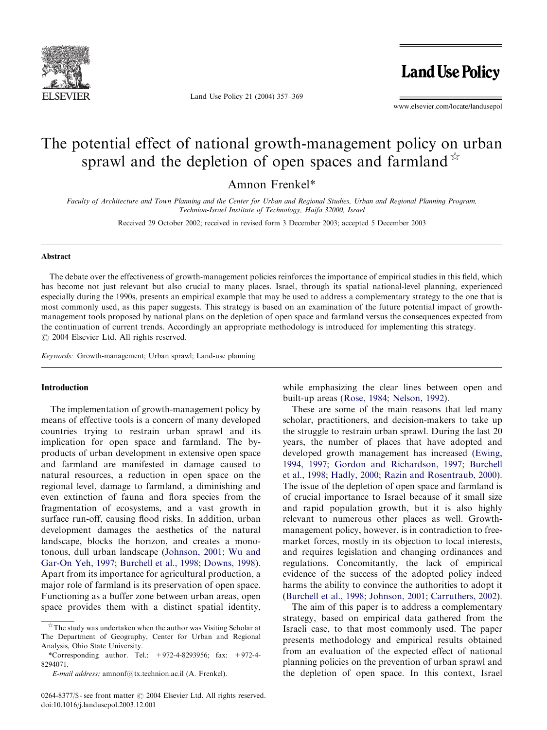

Land Use Policy 21 (2004) 357–369

**Land Use Policy** 

www.elsevier.com/locate/landusepol

# The potential effect of national growth-management policy on urban sprawl and the depletion of open spaces and farmland  $\overrightarrow{r}$

Amnon Frenkel\*

Faculty of Architecture and Town Planning and the Center for Urban and Regional Studies, Urban and Regional Planning Program, Technion-Israel Institute of Technology, Haifa 32000, Israel

Received 29 October 2002; received in revised form 3 December 2003; accepted 5 December 2003

#### Abstract

The debate over the effectiveness of growth-management policies reinforces the importance of empirical studies in this field, which has become not just relevant but also crucial to many places. Israel, through its spatial national-level planning, experienced especially during the 1990s, presents an empirical example that may be used to address a complementary strategy to the one that is most commonly used, as this paper suggests. This strategy is based on an examination of the future potential impact of growthmanagement tools proposed by national plans on the depletion of open space and farmland versus the consequences expected from the continuation of current trends. Accordingly an appropriate methodology is introduced for implementing this strategy.  $O$  2004 Elsevier Ltd. All rights reserved.

Keywords: Growth-management; Urban sprawl; Land-use planning

### Introduction

The implementation of growth-management policy by means of effective tools is a concern of many developed countries trying to restrain urban sprawl and its implication for open space and farmland. The byproducts of urban development in extensive open space and farmland are manifested in damage caused to natural resources, a reduction in open space on the regional level, damage to farmland, a diminishing and even extinction of fauna and flora species from the fragmentation of ecosystems, and a vast growth in surface run-off, causing flood risks. In addition, urban development damages the aesthetics of the natural landscape, blocks the horizon, and creates a monotonous, dull urban landscape [\(Johnson, 2001;](#page--1-0) [Wu and](#page--1-0) [Gar-On Yeh, 1997;](#page--1-0) [Burchell et al., 1998](#page--1-0); [Downs, 1998\)](#page--1-0). Apart from its importance for agricultural production, a major role of farmland is its preservation of open space. Functioning as a buffer zone between urban areas, open space provides them with a distinct spatial identity, while emphasizing the clear lines between open and built-up areas ([Rose, 1984](#page--1-0); [Nelson, 1992\)](#page--1-0).

These are some of the main reasons that led many scholar, practitioners, and decision-makers to take up the struggle to restrain urban sprawl. During the last 20 years, the number of places that have adopted and developed growth management has increased [\(Ewing,](#page--1-0) [1994, 1997;](#page--1-0) [Gordon and Richardson, 1997](#page--1-0); [Burchell](#page--1-0) [et al., 1998;](#page--1-0) [Hadly, 2000](#page--1-0); [Razin and Rosentraub, 2000\)](#page--1-0). The issue of the depletion of open space and farmland is of crucial importance to Israel because of it small size and rapid population growth, but it is also highly relevant to numerous other places as well. Growthmanagement policy, however, is in contradiction to freemarket forces, mostly in its objection to local interests, and requires legislation and changing ordinances and regulations. Concomitantly, the lack of empirical evidence of the success of the adopted policy indeed harms the ability to convince the authorities to adopt it [\(Burchell et al., 1998](#page--1-0); [Johnson, 2001](#page--1-0); [Carruthers, 2002\)](#page--1-0).

The aim of this paper is to address a complementary strategy, based on empirical data gathered from the Israeli case, to that most commonly used. The paper presents methodology and empirical results obtained from an evaluation of the expected effect of national planning policies on the prevention of urban sprawl and the depletion of open space. In this context, Israel

 $\overrightarrow{r}$  The study was undertaken when the author was Visiting Scholar at The Department of Geography, Center for Urban and Regional Analysis, Ohio State University.

<sup>\*</sup>Corresponding author. Tel.: +972-4-8293956; fax: +972-4- 8294071.

E-mail address: amnonf@tx.technion.ac.il (A. Frenkel).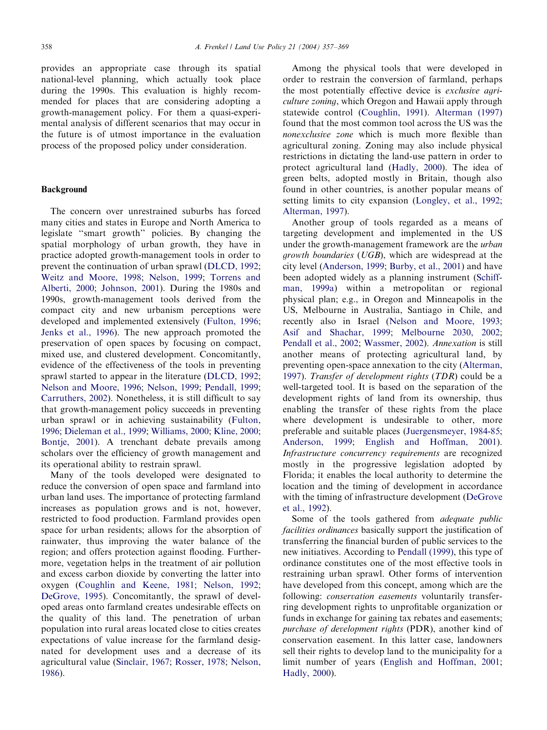provides an appropriate case through its spatial national-level planning, which actually took place during the 1990s. This evaluation is highly recommended for places that are considering adopting a growth-management policy. For them a quasi-experimental analysis of different scenarios that may occur in the future is of utmost importance in the evaluation process of the proposed policy under consideration.

#### Background

The concern over unrestrained suburbs has forced many cities and states in Europe and North America to legislate ''smart growth'' policies. By changing the spatial morphology of urban growth, they have in practice adopted growth-management tools in order to prevent the continuation of urban sprawl ([DLCD, 1992](#page--1-0); [Weitz and Moore, 1998;](#page--1-0) [Nelson, 1999;](#page--1-0) [Torrens and](#page--1-0) [Alberti, 2000;](#page--1-0) [Johnson, 2001\)](#page--1-0). During the 1980s and 1990s, growth-management tools derived from the compact city and new urbanism perceptions were developed and implemented extensively [\(Fulton, 1996](#page--1-0); [Jenks et al., 1996](#page--1-0)). The new approach promoted the preservation of open spaces by focusing on compact, mixed use, and clustered development. Concomitantly, evidence of the effectiveness of the tools in preventing sprawl started to appear in the literature [\(DLCD, 1992](#page--1-0); [Nelson and Moore, 1996;](#page--1-0) [Nelson, 1999;](#page--1-0) [Pendall, 1999](#page--1-0); [Carruthers, 2002](#page--1-0)). Nonetheless, it is still difficult to say that growth-management policy succeeds in preventing urban sprawl or in achieving sustainability [\(Fulton,](#page--1-0) [1996;](#page--1-0) [Dieleman et al., 1999](#page--1-0); [Williams, 2000](#page--1-0); [Kline, 2000](#page--1-0); [Bontje, 2001\)](#page--1-0). A trenchant debate prevails among scholars over the efficiency of growth management and its operational ability to restrain sprawl.

Many of the tools developed were designated to reduce the conversion of open space and farmland into urban land uses. The importance of protecting farmland increases as population grows and is not, however, restricted to food production. Farmland provides open space for urban residents; allows for the absorption of rainwater, thus improving the water balance of the region; and offers protection against flooding. Furthermore, vegetation helps in the treatment of air pollution and excess carbon dioxide by converting the latter into oxygen ([Coughlin and Keene, 1981;](#page--1-0) [Nelson, 1992](#page--1-0); [DeGrove, 1995\)](#page--1-0). Concomitantly, the sprawl of developed areas onto farmland creates undesirable effects on the quality of this land. The penetration of urban population into rural areas located close to cities creates expectations of value increase for the farmland designated for development uses and a decrease of its agricultural value [\(Sinclair, 1967;](#page--1-0) [Rosser, 1978](#page--1-0); [Nelson,](#page--1-0) [1986\)](#page--1-0).

Among the physical tools that were developed in order to restrain the conversion of farmland, perhaps the most potentially effective device is exclusive agriculture zoning, which Oregon and Hawaii apply through statewide control ([Coughlin, 1991\)](#page--1-0). [Alterman \(1997\)](#page--1-0) found that the most common tool across the US was the nonexclusive zone which is much more flexible than agricultural zoning. Zoning may also include physical restrictions in dictating the land-use pattern in order to protect agricultural land [\(Hadly, 2000](#page--1-0)). The idea of green belts, adopted mostly in Britain, though also found in other countries, is another popular means of setting limits to city expansion ([Longley, et al., 1992](#page--1-0); [Alterman, 1997\)](#page--1-0).

Another group of tools regarded as a means of targeting development and implemented in the US under the growth-management framework are the *urban* growth boundaries (UGB), which are widespread at the city level [\(Anderson, 1999](#page--1-0); [Burby, et al., 2001](#page--1-0)) and have been adopted widely as a planning instrument ([Schiff](#page--1-0)[man, 1999a\)](#page--1-0) within a metropolitan or regional physical plan; e.g., in Oregon and Minneapolis in the US, Melbourne in Australia, Santiago in Chile, and recently also in Israel ([Nelson and Moore, 1993](#page--1-0); [Asif and Shachar, 1999](#page--1-0); [Melbourne 2030, 2002](#page--1-0); [Pendall et al., 2002](#page--1-0); [Wassmer, 2002](#page--1-0)). Annexation is still another means of protecting agricultural land, by preventing open-space annexation to the city ([Alterman,](#page--1-0) [1997\)](#page--1-0). Transfer of development rights (TDR) could be a well-targeted tool. It is based on the separation of the development rights of land from its ownership, thus enabling the transfer of these rights from the place where development is undesirable to other, more preferable and suitable places [\(Juergensmeyer, 1984-85](#page--1-0); [Anderson, 1999;](#page--1-0) [English and Hoffman, 2001\)](#page--1-0). Infrastructure concurrency requirements are recognized mostly in the progressive legislation adopted by Florida; it enables the local authority to determine the location and the timing of development in accordance with the timing of infrastructure development [\(DeGrove](#page--1-0) [et al., 1992](#page--1-0)).

Some of the tools gathered from adequate public facilities ordinances basically support the justification of transferring the financial burden of public services to the new initiatives. According to [Pendall \(1999\),](#page--1-0) this type of ordinance constitutes one of the most effective tools in restraining urban sprawl. Other forms of intervention have developed from this concept, among which are the following: *conservation easements* voluntarily transferring development rights to unprofitable organization or funds in exchange for gaining tax rebates and easements; purchase of development rights (PDR), another kind of conservation easement. In this latter case, landowners sell their rights to develop land to the municipality for a limit number of years [\(English and Hoffman, 2001](#page--1-0); [Hadly, 2000](#page--1-0)).